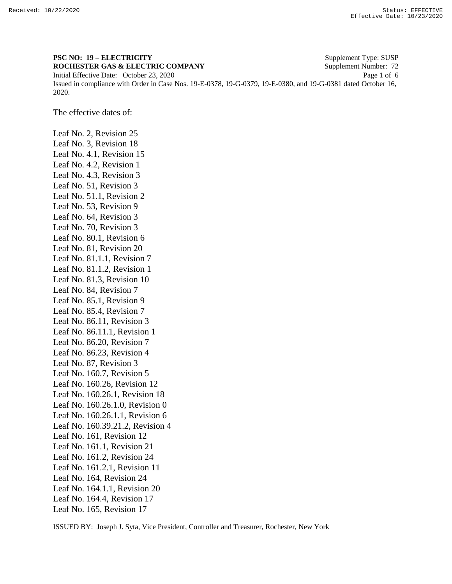## **PSC NO: 19 – ELECTRICITY** Supplement Type: SUSP **ROCHESTER GAS & ELECTRIC COMPANY** Supplement Number: 72 Initial Effective Date: October 23, 2020 Page 1 of 6 Issued in compliance with Order in Case Nos. 19-E-0378, 19-G-0379, 19-E-0380, and 19-G-0381 dated October 16, 2020.

The effective dates of:

Leaf No. 2, Revision 25 Leaf No. 3, Revision 18 Leaf No. 4.1, Revision 15 Leaf No. 4.2, Revision 1 Leaf No. 4.3, Revision 3 Leaf No. 51, Revision 3 Leaf No. 51.1, Revision 2 Leaf No. 53, Revision 9 Leaf No. 64, Revision 3 Leaf No. 70, Revision 3 Leaf No. 80.1, Revision 6 Leaf No. 81, Revision 20 Leaf No. 81.1.1, Revision 7 Leaf No. 81.1.2, Revision 1 Leaf No. 81.3, Revision 10 Leaf No. 84, Revision 7 Leaf No. 85.1, Revision 9 Leaf No. 85.4, Revision 7 Leaf No. 86.11, Revision 3 Leaf No. 86.11.1, Revision 1 Leaf No. 86.20, Revision 7 Leaf No. 86.23, Revision 4 Leaf No. 87, Revision 3 Leaf No. 160.7, Revision 5 Leaf No. 160.26, Revision 12 Leaf No. 160.26.1, Revision 18 Leaf No. 160.26.1.0, Revision 0 Leaf No. 160.26.1.1, Revision 6 Leaf No. 160.39.21.2, Revision 4 Leaf No. 161, Revision 12 Leaf No. 161.1, Revision 21 Leaf No. 161.2, Revision 24 Leaf No. 161.2.1, Revision 11 Leaf No. 164, Revision 24 Leaf No. 164.1.1, Revision 20 Leaf No. 164.4, Revision 17 Leaf No. 165, Revision 17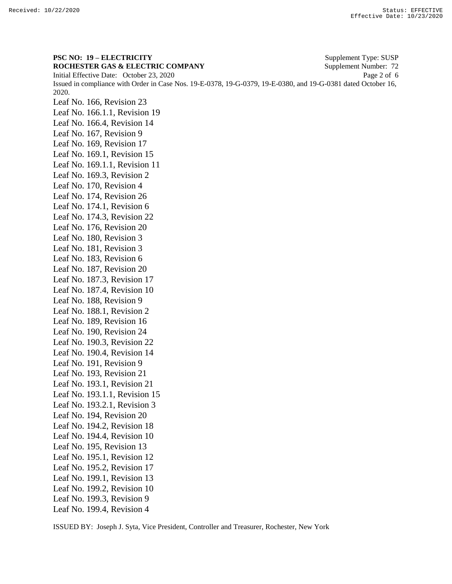**PSC NO: 19 – ELECTRICITY** Supplement Type: SUSP **ROCHESTER GAS & ELECTRIC COMPANY** Supplement Number: 72 Initial Effective Date: October 23, 2020 Page 2 of 6 Issued in compliance with Order in Case Nos. 19-E-0378, 19-G-0379, 19-E-0380, and 19-G-0381 dated October 16, 2020. Leaf No. 166, Revision 23 Leaf No. 166.1.1, Revision 19 Leaf No. 166.4, Revision 14 Leaf No. 167, Revision 9 Leaf No. 169, Revision 17 Leaf No. 169.1, Revision 15 Leaf No. 169.1.1, Revision 11 Leaf No. 169.3, Revision 2 Leaf No. 170, Revision 4 Leaf No. 174, Revision 26 Leaf No. 174.1, Revision 6 Leaf No. 174.3, Revision 22 Leaf No. 176, Revision 20 Leaf No. 180, Revision 3 Leaf No. 181, Revision 3 Leaf No. 183, Revision 6 Leaf No. 187, Revision 20 Leaf No. 187.3, Revision 17 Leaf No. 187.4, Revision 10 Leaf No. 188, Revision 9 Leaf No. 188.1, Revision 2 Leaf No. 189, Revision 16 Leaf No. 190, Revision 24 Leaf No. 190.3, Revision 22 Leaf No. 190.4, Revision 14 Leaf No. 191, Revision 9 Leaf No. 193, Revision 21 Leaf No. 193.1, Revision 21 Leaf No. 193.1.1, Revision 15 Leaf No. 193.2.1, Revision 3 Leaf No. 194, Revision 20 Leaf No. 194.2, Revision 18 Leaf No. 194.4, Revision 10 Leaf No. 195, Revision 13 Leaf No. 195.1, Revision 12 Leaf No. 195.2, Revision 17 Leaf No. 199.1, Revision 13 Leaf No. 199.2, Revision 10 Leaf No. 199.3, Revision 9 Leaf No. 199.4, Revision 4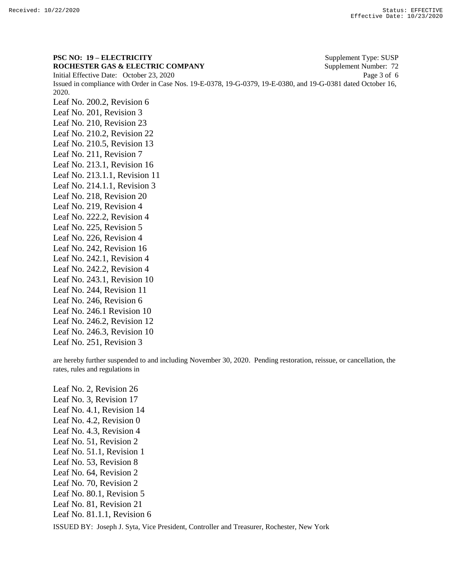**PSC NO: 19 – ELECTRICITY** Supplement Type: SUSP **ROCHESTER GAS & ELECTRIC COMPANY** Supplement Number: 72 Initial Effective Date: October 23, 2020 Page 3 of 6 Issued in compliance with Order in Case Nos. 19-E-0378, 19-G-0379, 19-E-0380, and 19-G-0381 dated October 16, 2020. Leaf No. 200.2, Revision 6 Leaf No. 201, Revision 3 Leaf No. 210, Revision 23 Leaf No. 210.2, Revision 22 Leaf No. 210.5, Revision 13 Leaf No. 211, Revision 7 Leaf No. 213.1, Revision 16 Leaf No. 213.1.1, Revision 11 Leaf No. 214.1.1, Revision 3 Leaf No. 218, Revision 20 Leaf No. 219, Revision 4 Leaf No. 222.2, Revision 4 Leaf No. 225, Revision 5 Leaf No. 226, Revision 4 Leaf No. 242, Revision 16 Leaf No. 242.1, Revision 4 Leaf No. 242.2, Revision 4 Leaf No. 243.1, Revision 10 Leaf No. 244, Revision 11 Leaf No. 246, Revision 6 Leaf No. 246.1 Revision 10 Leaf No. 246.2, Revision 12 Leaf No. 246.3, Revision 10

Leaf No. 251, Revision 3

are hereby further suspended to and including November 30, 2020. Pending restoration, reissue, or cancellation, the rates, rules and regulations in

Leaf No. 2, Revision 26 Leaf No. 3, Revision 17 Leaf No. 4.1, Revision 14 Leaf No. 4.2, Revision 0 Leaf No. 4.3, Revision 4 Leaf No. 51, Revision 2 Leaf No. 51.1, Revision 1 Leaf No. 53, Revision 8 Leaf No. 64, Revision 2 Leaf No. 70, Revision 2 Leaf No. 80.1, Revision 5 Leaf No. 81, Revision 21 Leaf No. 81.1.1, Revision 6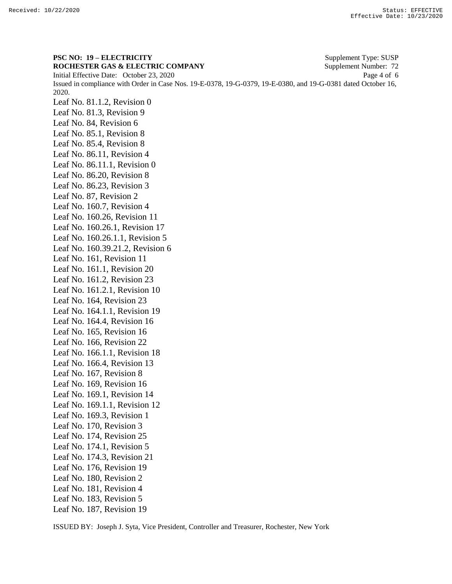**PSC NO: 19 – ELECTRICITY** Supplement Type: SUSP **ROCHESTER GAS & ELECTRIC COMPANY** Supplement Number: 72 Initial Effective Date: October 23, 2020 Page 4 of 6 Issued in compliance with Order in Case Nos. 19-E-0378, 19-G-0379, 19-E-0380, and 19-G-0381 dated October 16, 2020. Leaf No. 81.1.2, Revision 0 Leaf No. 81.3, Revision 9 Leaf No. 84, Revision 6 Leaf No. 85.1, Revision 8 Leaf No. 85.4, Revision 8 Leaf No. 86.11, Revision 4 Leaf No. 86.11.1, Revision 0 Leaf No. 86.20, Revision 8 Leaf No. 86.23, Revision 3 Leaf No. 87, Revision 2 Leaf No. 160.7, Revision 4 Leaf No. 160.26, Revision 11 Leaf No. 160.26.1, Revision 17 Leaf No. 160.26.1.1, Revision 5 Leaf No. 160.39.21.2, Revision 6 Leaf No. 161, Revision 11 Leaf No. 161.1, Revision 20 Leaf No. 161.2, Revision 23 Leaf No. 161.2.1, Revision 10 Leaf No. 164, Revision 23 Leaf No. 164.1.1, Revision 19 Leaf No. 164.4, Revision 16 Leaf No. 165, Revision 16 Leaf No. 166, Revision 22 Leaf No. 166.1.1, Revision 18 Leaf No. 166.4, Revision 13 Leaf No. 167, Revision 8 Leaf No. 169, Revision 16 Leaf No. 169.1, Revision 14 Leaf No. 169.1.1, Revision 12 Leaf No. 169.3, Revision 1 Leaf No. 170, Revision 3 Leaf No. 174, Revision 25 Leaf No. 174.1, Revision 5 Leaf No. 174.3, Revision 21 Leaf No. 176, Revision 19 Leaf No. 180, Revision 2 Leaf No. 181, Revision 4 Leaf No. 183, Revision 5 Leaf No. 187, Revision 19

ISSUED BY: Joseph J. Syta, Vice President, Controller and Treasurer, Rochester, New York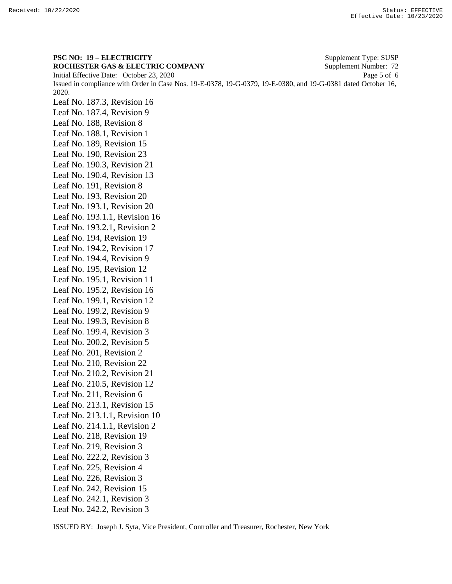**PSC NO: 19 – ELECTRICITY** Supplement Type: SUSP **ROCHESTER GAS & ELECTRIC COMPANY** Supplement Number: 72 Initial Effective Date: October 23, 2020 Page 5 of 6 Issued in compliance with Order in Case Nos. 19-E-0378, 19-G-0379, 19-E-0380, and 19-G-0381 dated October 16, 2020. Leaf No. 187.3, Revision 16 Leaf No. 187.4, Revision 9 Leaf No. 188, Revision 8 Leaf No. 188.1, Revision 1 Leaf No. 189, Revision 15 Leaf No. 190, Revision 23 Leaf No. 190.3, Revision 21 Leaf No. 190.4, Revision 13 Leaf No. 191, Revision 8 Leaf No. 193, Revision 20 Leaf No. 193.1, Revision 20 Leaf No. 193.1.1, Revision 16 Leaf No. 193.2.1, Revision 2 Leaf No. 194, Revision 19 Leaf No. 194.2, Revision 17 Leaf No. 194.4, Revision 9 Leaf No. 195, Revision 12 Leaf No. 195.1, Revision 11 Leaf No. 195.2, Revision 16 Leaf No. 199.1, Revision 12 Leaf No. 199.2, Revision 9 Leaf No. 199.3, Revision 8 Leaf No. 199.4, Revision 3 Leaf No. 200.2, Revision 5 Leaf No. 201, Revision 2 Leaf No. 210, Revision 22 Leaf No. 210.2, Revision 21 Leaf No. 210.5, Revision 12 Leaf No. 211, Revision 6 Leaf No. 213.1, Revision 15 Leaf No. 213.1.1, Revision 10 Leaf No. 214.1.1, Revision 2 Leaf No. 218, Revision 19 Leaf No. 219, Revision 3 Leaf No. 222.2, Revision 3 Leaf No. 225, Revision 4 Leaf No. 226, Revision 3 Leaf No. 242, Revision 15 Leaf No. 242.1, Revision 3 Leaf No. 242.2, Revision 3